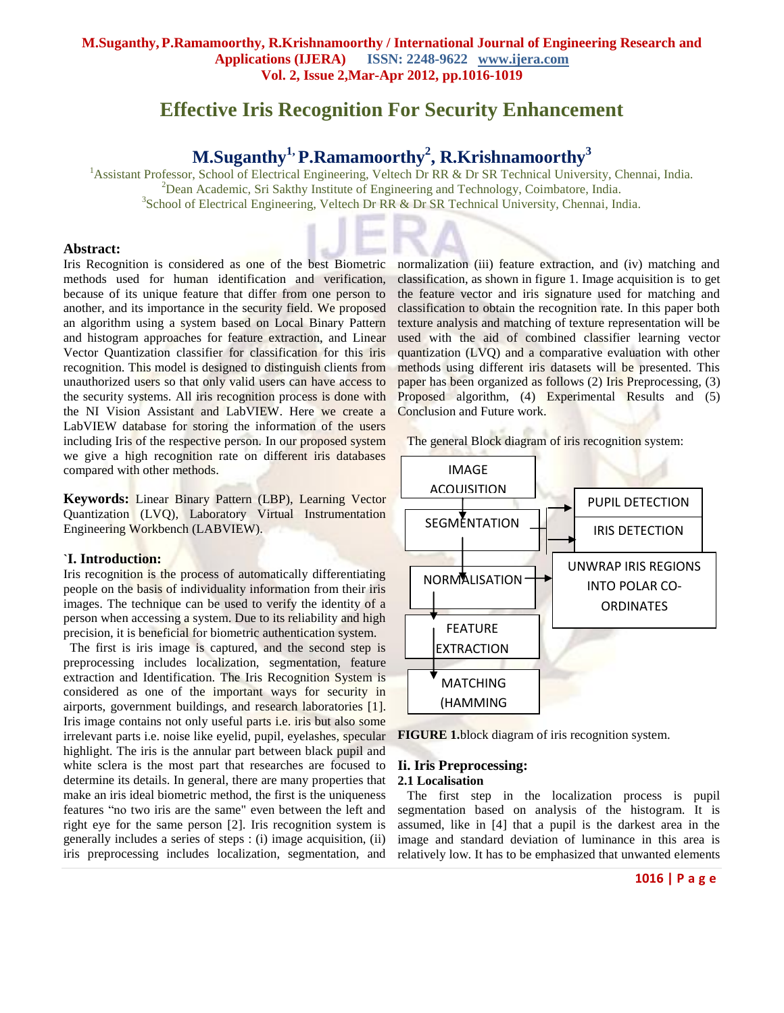# **Effective Iris Recognition For Security Enhancement**

# **M.Suganthy1, P.Ramamoorthy<sup>2</sup> , R.Krishnamoorthy<sup>3</sup>**

<sup>1</sup>Assistant Professor, School of Electrical Engineering, Veltech Dr RR & Dr SR Technical University, Chennai, India.  $2$ Dean Academic, Sri Sakthy Institute of Engineering and Technology, Coimbatore, India. <sup>3</sup>School of Electrical Engineering, Veltech Dr RR & Dr SR Technical University, Chennai, India.

#### **Abstract:**

Iris Recognition is considered as one of the best Biometric methods used for human identification and verification, because of its unique feature that differ from one person to another, and its importance in the security field. We proposed an algorithm using a system based on Local Binary Pattern and histogram approaches for feature extraction, and Linear Vector Quantization classifier for classification for this iris recognition. This model is designed to distinguish clients from unauthorized users so that only valid users can have access to the security systems. All iris recognition process is done with the NI Vision Assistant and LabVIEW. Here we create a LabVIEW database for storing the information of the users including Iris of the respective person. In our proposed system we give a high recognition rate on different iris databases compared with other methods.

**Keywords:** Linear Binary Pattern (LBP), Learning Vector Quantization (LVQ), Laboratory Virtual Instrumentation Engineering Workbench (LABVIEW).

#### **`I. Introduction:**

Iris recognition is the process of automatically differentiating people on the basis of individuality information from their iris images. The technique can be used to verify the identity of a person when accessing a system. Due to its reliability and high precision, it is beneficial for biometric authentication system.

 The first is iris image is captured, and the second step is preprocessing includes localization, segmentation, feature extraction and Identification. The Iris Recognition System is considered as one of the important ways for security in airports, government buildings, and research laboratories [1]. Iris image contains not only useful parts i.e. iris but also some irrelevant parts i.e. noise like eyelid, pupil, eyelashes, specular highlight. The iris is the annular part between black pupil and white sclera is the most part that researches are focused to determine its details. In general, there are many properties that make an iris ideal biometric method, the first is the uniqueness features "no two iris are the same" even between the left and right eye for the same person [2]. Iris recognition system is generally includes a series of steps : (i) image acquisition, (ii) iris preprocessing includes localization, segmentation, and

normalization (iii) feature extraction, and (iv) matching and classification, as shown in figure 1. Image acquisition is to get the feature vector and iris signature used for matching and classification to obtain the recognition rate. In this paper both texture analysis and matching of texture representation will be used with the aid of combined classifier learning vector quantization (LVQ) and a comparative evaluation with other methods using different iris datasets will be presented. This paper has been organized as follows (2) Iris Preprocessing, (3) Proposed algorithm, (4) Experimental Results and (5) Conclusion and Future work.

The general Block diagram of iris recognition system:



**FIGURE 1.**block diagram of iris recognition system.

### **Ii. Iris Preprocessing: 2.1 Localisation**

 The first step in the localization process is pupil segmentation based on analysis of the histogram. It is assumed, like in [4] that a pupil is the darkest area in the image and standard deviation of luminance in this area is relatively low. It has to be emphasized that unwanted elements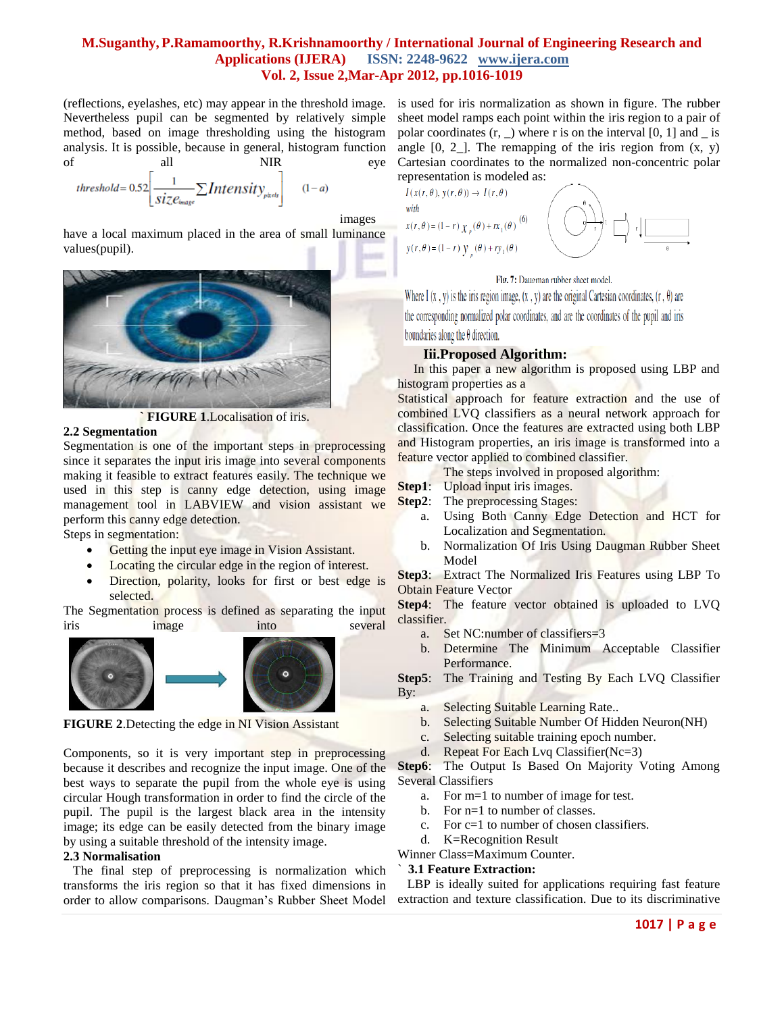# **M.Suganthy,P.Ramamoorthy, R.Krishnamoorthy / International Journal of Engineering Research and Applications (IJERA) ISSN: 2248-9622 www.ijera.com Vol. 2, Issue 2,Mar-Apr 2012, pp.1016-1019**

(reflections, eyelashes, etc) may appear in the threshold image. Nevertheless pupil can be segmented by relatively simple method, based on image thresholding using the histogram analysis. It is possible, because in general, histogram function of all NIR eye

$$
threshold = 0.52 \left[ \frac{1}{size_{image}} \sum Intensity_{pixels} \right] \qquad (1-a)
$$

images

have a local maximum placed in the area of small luminance values(pupil).



**FIGURE 1. Localisation of iris.** 

#### **2.2 Segmentation**

Segmentation is one of the important steps in preprocessing since it separates the input iris image into several components making it feasible to extract features easily. The technique we used in this step is canny edge detection, using image management tool in LABVIEW and vision assistant we perform this canny edge detection.

Steps in segmentation:

- Getting the input eye image in Vision Assistant.
- Locating the circular edge in the region of interest.
- Direction, polarity, looks for first or best edge is selected.

The Segmentation process is defined as separating the input iris image into several



**FIGURE 2**.Detecting the edge in NI Vision Assistant

Components, so it is very important step in preprocessing because it describes and recognize the input image. One of the best ways to separate the pupil from the whole eye is using circular Hough transformation in order to find the circle of the pupil. The pupil is the largest black area in the intensity image; its edge can be easily detected from the binary image by using a suitable threshold of the intensity image.

### **2.3 Normalisation**

 The final step of preprocessing is normalization which transforms the iris region so that it has fixed dimensions in order to allow comparisons. Daugman's Rubber Sheet Model

is used for iris normalization as shown in figure. The rubber sheet model ramps each point within the iris region to a pair of polar coordinates  $(r, \_)$  where r is on the interval [0, 1] and  $\_$  is angle  $[0, 2]$ . The remapping of the iris region from  $(x, y)$ Cartesian coordinates to the normalized non-concentric polar representation is modeled as:



#### Fig. 7: Daugman rubber sheet model.

Where I  $(x, y)$  is the iris region image,  $(x, y)$  are the original Cartesian coordinates,  $(r, \theta)$  are the corresponding normalized polar coordinates, and are the coordinates of the pupil and iris boundaries along the  $\theta$  direction.

#### **Iii.Proposed Algorithm:**

 In this paper a new algorithm is proposed using LBP and histogram properties as a

Statistical approach for feature extraction and the use of combined LVQ classifiers as a neural network approach for classification. Once the features are extracted using both LBP and Histogram properties, an iris image is transformed into a feature vector applied to combined classifier.

The steps involved in proposed algorithm:

- **Step1:** Upload input iris images.
- **Step2:** The preprocessing Stages:
	- a. Using Both Canny Edge Detection and HCT for Localization and Segmentation.
	- b. Normalization Of Iris Using Daugman Rubber Sheet Model

**Step3**: Extract The Normalized Iris Features using LBP To Obtain Feature Vector

**Step4**: The feature vector obtained is uploaded to LVQ classifier.

- a. Set NC:number of classifiers=3
- b. Determine The Minimum Acceptable Classifier Performance.

**Step5**: The Training and Testing By Each LVQ Classifier By:

- a. Selecting Suitable Learning Rate..
- b. Selecting Suitable Number Of Hidden Neuron(NH)
- c. Selecting suitable training epoch number.
- d. Repeat For Each Lvq Classifier(Nc=3)

**Step6**: The Output Is Based On Majority Voting Among Several Classifiers

- a. For m=1 to number of image for test.
- b. For n=1 to number of classes.
- c. For c=1 to number of chosen classifiers.
- d. K=Recognition Result

Winner Class=Maximum Counter.

## ` **3.1 Feature Extraction:**

 LBP is ideally suited for applications requiring fast feature extraction and texture classification. Due to its discriminative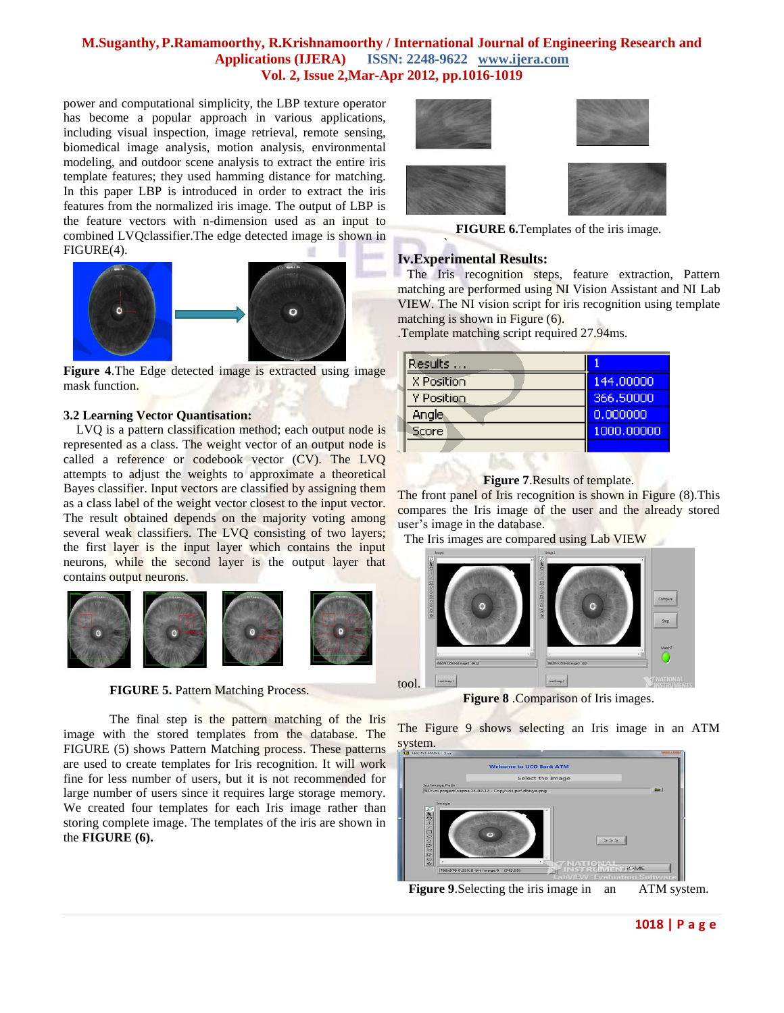# **M.Suganthy,P.Ramamoorthy, R.Krishnamoorthy / International Journal of Engineering Research and Applications (IJERA) ISSN: 2248-9622 www.ijera.com Vol. 2, Issue 2,Mar-Apr 2012, pp.1016-1019**

power and computational simplicity, the LBP texture operator has become a popular approach in various applications, including visual inspection, image retrieval, remote sensing, biomedical image analysis, motion analysis, environmental modeling, and outdoor scene analysis to extract the entire iris template features; they used hamming distance for matching. In this paper LBP is introduced in order to extract the iris features from the normalized iris image. The output of LBP is the feature vectors with n-dimension used as an input to combined LVQclassifier.The edge detected image is shown in FIGURE(4).



**Figure 4**.The Edge detected image is extracted using image mask function.

## **3.2 Learning Vector Quantisation:**

 LVQ is a pattern classification method; each output node is represented as a class. The weight vector of an output node is called a reference or codebook vector (CV). The LVQ attempts to adjust the weights to approximate a theoretical Bayes classifier. Input vectors are classified by assigning them as a class label of the weight vector closest to the input vector. The result obtained depends on the majority voting among several weak classifiers. The LVQ consisting of two layers; the first layer is the input layer which contains the input neurons, while the second layer is the output layer that contains output neurons.



**FIGURE 5.** Pattern Matching Process.

The final step is the pattern matching of the Iris image with the stored templates from the database. The FIGURE (5) shows Pattern Matching process. These patterns are used to create templates for Iris recognition. It will work fine for less number of users, but it is not recommended for large number of users since it requires large storage memory. We created four templates for each Iris image rather than storing complete image. The templates of the iris are shown in the **FIGURE (6).**



**FIGURE 6.**Templates of the iris image.

# **Iv.Experimental Results:**

`

 The Iris recognition steps, feature extraction, Pattern matching are performed using NI Vision Assistant and NI Lab VIEW. The NI vision script for iris recognition using template matching is shown in Figure (6).

.Template matching script required 27.94ms.

| Results      |            |
|--------------|------------|
| X Position   | 144,00000  |
| Y Position   | 366,50000  |
| Angle        | 0,000000   |
| <b>Score</b> | 1000,00000 |
|              |            |

## **Figure 7**.Results of template.

The front panel of Iris recognition is shown in Figure (8).This compares the Iris image of the user and the already stored user's image in the database.

The Iris images are compared using Lab VIEW



**Figure 8** .Comparison of Iris images.

The Figure 9 shows selecting an Iris image in an ATM system.



**Figure 9.** Selecting the iris image in an ATM system.